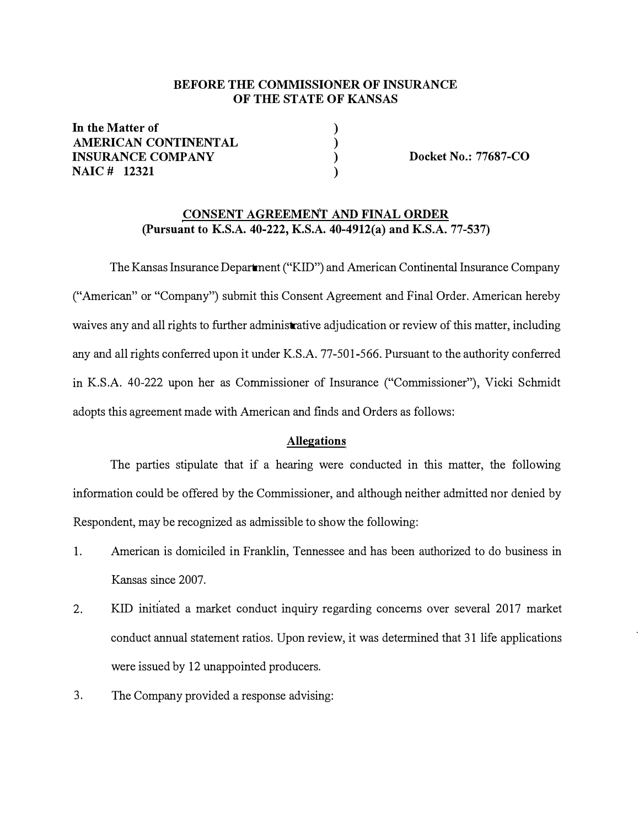#### **BEFORE THE COMMISSIONER OF INSURANCE OF THE STATE OF KANSAS**

**) ) ) )** 

**In the Matter of AMERICAN CONTINENTAL INSURANCE COMPANY NAIC # 12321** 

**Docket No.: 77687-CO** 

#### **CONSENT AGREEMENT AND FINAL ORDER (Pursuant to K.S.A. 40-222, K.S.A. 40-4912(a) and K.S.A. 77-537)**

The Kansas Insurance Department ("KID") and American Continental Insurance Company ("American" or "Company") submit this Consent Agreement and Final Order. American hereby waives any and all rights to further administrative adjudication or review of this matter, including any and all rights conferred upon it under K.S.A. 77-501-566. Pursuant to the authority conferred in K.S.A. 40-222 upon her as Commissioner of Insurance ("Commissioner"), Vicki Schmidt adopts this agreement made with American and finds and Orders as follows:

#### **Allegations**

The parties stipulate that if a hearing were conducted in this matter, the following information could be offered by the Commissioner, and although neither admitted nor denied by Respondent, may be recognized as admissible to show the following:

- 1. American is domiciled in Franklin, Tennessee and has been authorized to do business in Kansas since 2007.
- 2. KID initiated a market conduct inquiry regarding concerns over several 2017 market conduct annual statement ratios. Upon review, it was determined that 31 life applications were issued by 12 unappointed producers.
- 3. The Company provided a response advising: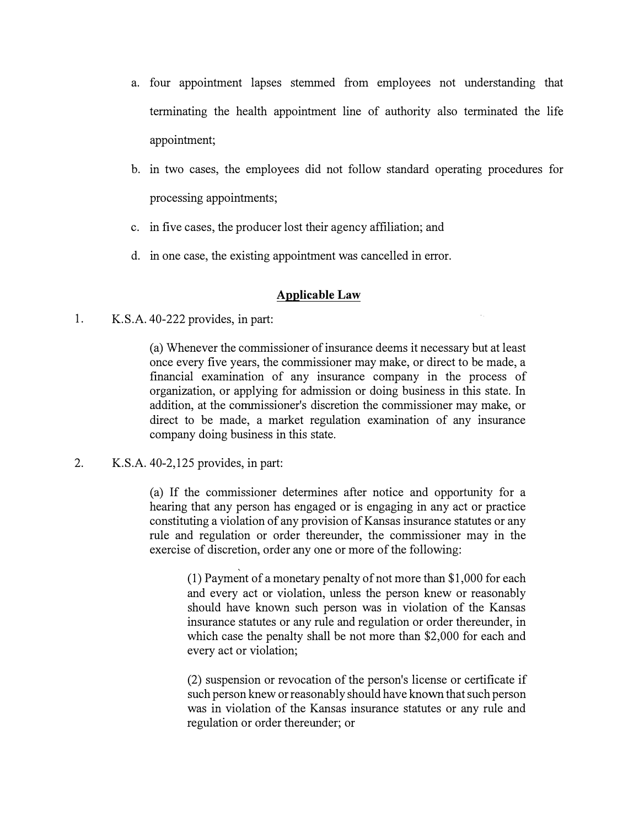- a. four appointment lapses stemmed from employees not understanding that terminating the health appointment line of authority also terminated the life appointment;
- b. in two cases, the employees did not follow standard operating procedures for processing appointments;
- c. in five cases, the producer lost their agency affiliation; and
- d. in one case, the existing appointment was cancelled in error.

## **Applicable Law**

1. K.S.A. 40-222 provides, in part:

(a) Whenever the commissioner of insurance deems it necessary but at least once every five years, the commissioner may make, or direct to be made, a financial examination of any insurance company in the process of organization, or applying for admission or doing business in this state. In addition, at the commissioner's discretion the commissioner may make, or direct to be made, a market regulation examination of any insurance company doing business in this state.

2. K.S.A. 40-2,125 provides, in part:

(a) If the commissioner determines after notice and opportunity for a hearing that any person has engaged or is engaging in any act or practice constituting a violation of any provision of Kansas insurance statutes or any rule and regulation or order thereunder, the commissioner may in the exercise of discretion, order any one or more of the following:

> (1) Payment of a monetary penalty of not more than \$1,000 for each and every act or violation, unless the person knew or reasonably should have known such person was in violation of the Kansas insurance statutes or any rule and regulation or order thereunder, in which case the penalty shall be not more than \$2,000 for each and every act or violation;

> (2) suspension or revocation of the person's license or certificate if such person knew or reasonably should have known that such person was in violation of the Kansas insurance statutes or any rule and regulation or order thereunder; or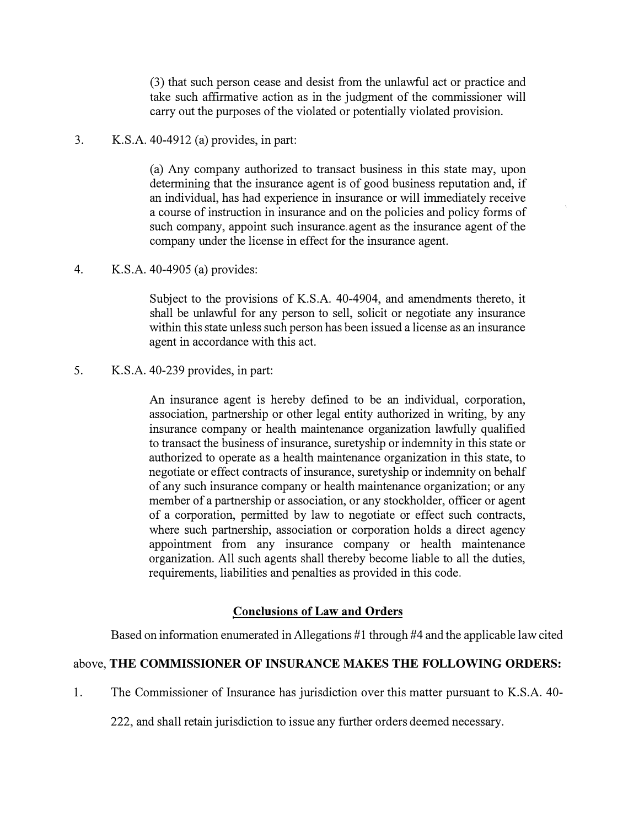(3) that such person cease and desist from the unlawful act or practice and take such affirmative action as in the judgment of the commissioner will carry out the purposes of the violated or potentially violated provision.

# 3. K.S.A. 40-4912 (a) provides, in part:

(a) Any company authorized to transact business in this state may, upon determining that the insurance agent is of good business reputation and, if an individual, has had experience in insurance or will immediately receive a course of instruction in insurance and on the policies and policy forms of such company, appoint such insurance. agent as the insurance agent of the company under the license in effect for the insurance agent.

4. K.S.A. 40-4905 (a) provides:

Subject to the provisions of K.S.A. 40-4904, and amendments thereto, it shall be unlawful for any person to sell, solicit or negotiate any insurance within this state unless such person has been issued a license as an insurance agent in accordance with this act.

5. K.S.A. 40-239 provides, in part:

An insurance agent is hereby defined to be an individual, corporation, association, partnership or other legal entity authorized in writing, by any insurance company or health maintenance organization lawfully qualified to transact the business of insurance, suretyship or indemnity in this state or authorized to operate as a health maintenance organization in this state, to negotiate or effect contracts of insurance, suretyship or indemnity on behalf of any such insurance company or health maintenance organization; or any member of a partnership or association, or any stockholder, officer or agent of a corporation, permitted by law to negotiate or effect such contracts, where such partnership, association or corporation holds a direct agency appointment from any insurance company or health maintenance organization. All such agents shall thereby become liable to all the duties, requirements, liabilities and penalties as provided in this code.

## **Conclusions of Law and Orders**

Based on information enumerated in Allegations #1 through #4 and the applicable law cited

## above, **THE COMMISSIONER OF INSURANCE MAKES THE FOLLOWING ORDERS:**

1. The Commissioner of Insurance has jurisdiction over this matter pursuant to K.S.A. 40-

222, and shall retain jurisdiction to issue any further orders deemed necessary.